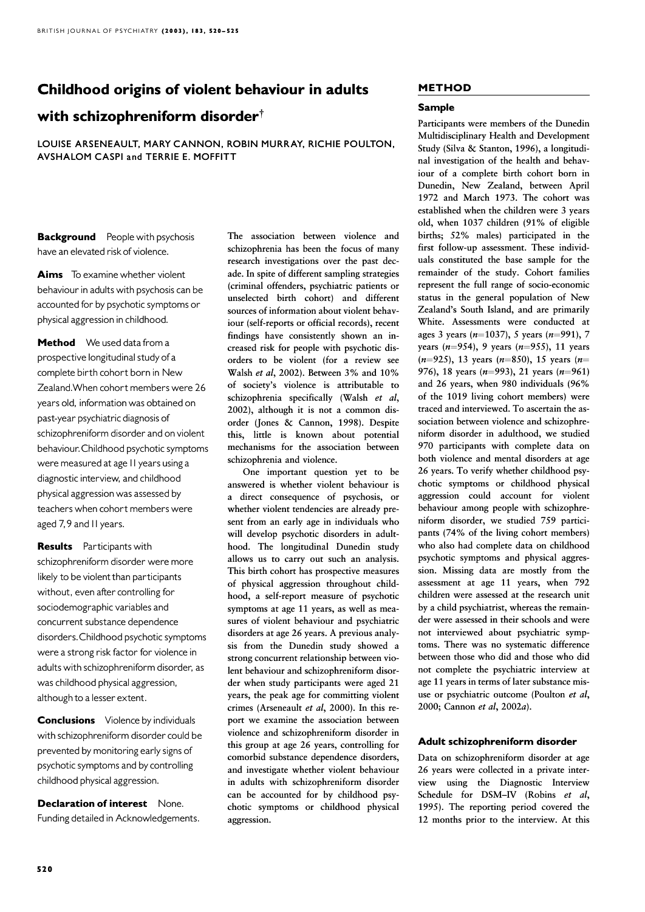# Childhood origins of violent behaviour in adults

# with schizophreniform disorder<sup>†</sup>

LOUISE ARSENEAULT, MARY CANNON, ROBIN MURRAY, RICHIE POULTON, AVSHALOM CASPI and TERRIE E. MOFFITT

**Background** People with psychosis have an elevated riskof violence.

Aims To examine whether violent behaviour in adults with psychosis can be accounted for by psychotic symptoms or physical aggression in childhood.

Method We used data from a prospective longitudinal study of a complete birth cohort born in New Zealand.When cohort members were 26 years old, information was obtained on past-year psychiatric diagnosis of schizophreniform disorder and on violent behaviour.Childhood psychotic symptoms were measured at age 11 years using a diagnostic interview, and childhood physical aggression was assessed by teachers when cohort members were aged 7,9 and II years.

**Results** Participants with schizophreniform disorder were more likely to be violent than participants without, even after controlling for sociodemographic variables and concurrent substance dependence disorders.Childhood psychotic symptoms were a strong risk factor for violence in adults with schizophreniform disorder, as was childhood physical aggression, although to a lesser extent.

**Conclusions** Violence by individuals with schizophreniform disorder could be prevented bymonitoring early signs of psychotic symptoms and by controlling childhood physical aggression.

Declaration of interest None. Funding detailed in Acknowledgements. The association between violence and schizophrenia has been the focus of many research investigations over the past decade. In spite of different sampling strategies (criminal offenders, psychiatric patients or unselected birth cohort) and different sources of information about violent behaviour (self-reports or official records), recent findings have consistently shown an increased risk for people with psychotic disorders to be violent (for a review see Walsh et al, 2002). Between 3% and 10% of society's violence is attributable to schizophrenia specifically (Walsh  $et \text{ } al$ , 2002), although it is not a common disorder (Jones & Cannon, 1998). Despite this, little is known about potential mechanisms for the association between schizophrenia and violence.

One important question yet to be answered is whether violent behaviour is a direct consequence of psychosis, or whether violent tendencies are already present from an early age in individuals who will develop psychotic disorders in adulthood. The longitudinal Dunedin study allows us to carry out such an analysis. This birth cohort has prospective measures of physical aggression throughout childhood, a self-report measure of psychotic symptoms at age 11 years, as well as measures of violent behaviour and psychiatric disorders at age 26 years. A previous analysis from the Dunedin study showed a strong concurrent relationship between violent behaviour and schizophreniform disorder when study participants were aged 21 years, the peak age for committing violent crimes (Arseneault et al.  $2000$ ). In this report we examine the association between violence and schizophreniform disorder in this group at age 26 years, controlling for comorbid substance dependence disorders, and investigate whether violent behaviour in adults with schizophreniform disorder can be accounted for by childhood psychotic symptoms or childhood physical aggression.

# METHOD

#### Sample

Participants were members of the Dunedin Multidisciplinary Health and Development Study (Silva & Stanton, 1996), a longitudinal investigation of the health and behaviour of a complete birth cohort born in Dunedin, New Zealand, between April 1972 and March 1973. The cohort was established when the children were 3 years old, when 1037 children (91% of eligible births; 52% males) participated in the first follow-up assessment. These individuals constituted the base sample for the remainder of the study. Cohort families represent the full range of socio-economic status in the general population of New Zealand's South Island, and are primarily White. Assessments were conducted at ages 3 years ( $n=1037$ ), 5 years ( $n=991$ ), 7 years ( $n=954$ ), 9 years ( $n=955$ ), 11 years  $(n=925)$ , 13 years  $(n=850)$ , 15 years  $(n=$ 976), 18 years ( $n=993$ ), 21 years ( $n=961$ ) and 26 years, when 980 individuals (96% of the 1019 living cohort members) were traced and interviewed. To ascertain the association between violence and schizophreniform disorder in adulthood, we studied 970 participants with complete data on both violence and mental disorders at age 26 years. To verify whether childhood psychotic symptoms or childhood physical aggression could account for violent behaviour among people with schizophreniform disorder, we studied 759 participants (74% of the living cohort members) who also had complete data on childhood psychotic symptoms and physical aggression. Missing data are mostly from the assessment at age 11 years, when 792 children were assessed at the research unit by a child psychiatrist, whereas the remainder were assessed in their schools and were not interviewed about psychiatric symptoms. There was no systematic difference between those who did and those who did not complete the psychiatric interview at age 11 years in terms of later substance misuse or psychiatric outcome (Poulton et al, 2000; Cannon et al,  $2002a$ ).

## Adult schizophreniform disorder

Data on schizophreniform disorder at age 26 years were collected in a private interview using the Diagnostic Interview Schedule for DSM-IV (Robins et al, 1995). The reporting period covered the 12 months prior to the interview. At this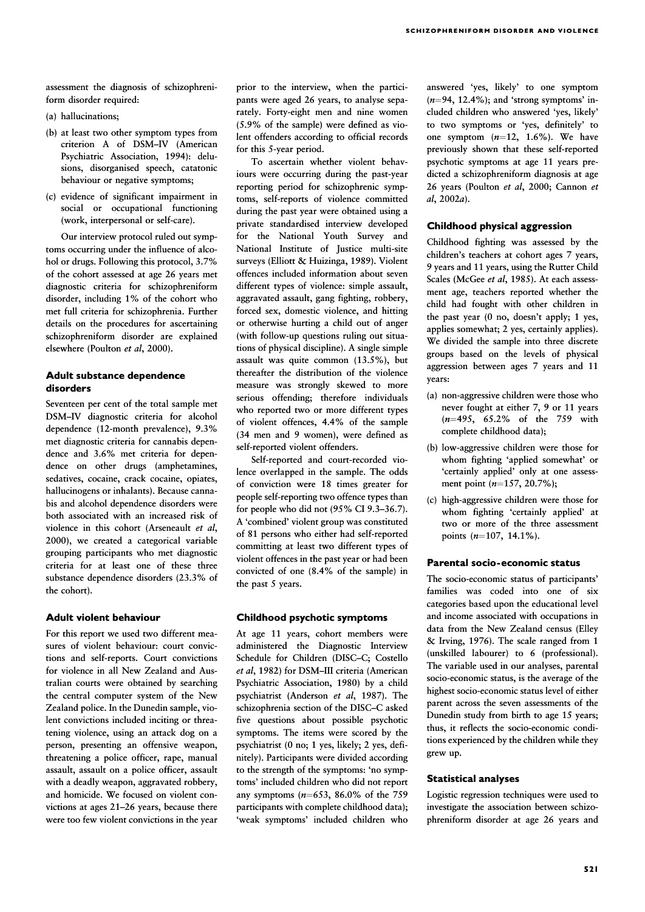assessment the diagnosis of schizophreniform disorder required:

- (a) hallucinations;
- $(b)$  at least two other symptom types from criterion A of DSM–IV (American Psychiatric Association, 1994): delusions, disorganised speech, catatonic behaviour or negative symptoms;
- $(c)$  evidence of significant impairment in social or occupational functioning (work, interpersonal or self-care).

Our interview protocol ruled out symptoms occurring under the influence of alcohol or drugs. Following this protocol, 3.7% of the cohort assessed at age 26 years met diagnostic criteria for schizophreniform disorder, including 1% of the cohort who met full criteria for schizophrenia. Further details on the procedures for ascertaining schizophreniform disorder are explained elsewhere (Poulton et al, 2000).

# Adult substance dependence disorders

Seventeen per cent of the total sample met DSM–IV diagnostic criteria for alcohol dependence (12-month prevalence), 9.3% met diagnostic criteria for cannabis dependence and 3.6% met criteria for dependence on other drugs (amphetamines, sedatives, cocaine, crack cocaine, opiates, hallucinogens or inhalants). Because cannabis and alcohol dependence disorders were both associated with an increased risk of violence in this cohort (Arseneault et al, 2000), we created a categorical variable grouping participants who met diagnostic criteria for at least one of these three substance dependence disorders (23.3% of the cohort).

## **Adult violent behaviour**

For this report we used two different measures of violent behaviour: court convictions and self-reports. Court convictions for violence in all New Zealand and Australian courts were obtained by searching the central computer system of the New Zealand police. In the Dunedin sample, violent convictions included inciting or threatening violence, using an attack dog on a person, presenting an offensive weapon, threatening a police officer, rape, manual assault, assault on a police officer, assault with a deadly weapon, aggravated robbery, and homicide. We focused on violent convictions at ages  $21-26$  years, because there were too few violent convictions in the year prior to the interview, when the participants were aged 26 years, to analyse separately. Forty-eight men and nine women (5.9% of the sample) were defined as violent offenders according to official records for this 5-year period.

To ascertain whether violent behaviours were occurring during the past-year reporting period for schizophrenic symptoms, self-reports of violence committed during the past year were obtained using a private standardised interview developed for the National Youth Survey and National Institute of Justice multi-site surveys (Elliott & Huizinga, 1989). Violent offences included information about seven different types of violence: simple assault, aggravated assault, gang fighting, robbery, forced sex, domestic violence, and hitting or otherwise hurting a child out of anger (with follow-up questions ruling out situations of physical discipline). A single simple assault was quite common  $(13.5\%)$ , but thereafter the distribution of the violence measure was strongly skewed to more serious offending; therefore individuals who reported two or more different types of violent offences, 4.4% of the sample (34 men and 9 women), were defined as self-reported violent offenders.

Self-reported and court-recorded violence overlapped in the sample. The odds of conviction were 18 times greater for people self-reporting two offence types than for people who did not (95% CI 9.3–36.7). A 'combined' violent group was constituted of 81 persons who either had self-reported committing at least two different types of violent offences in the past year or had been convicted of one (8.4% of the sample) in the past 5 years.

#### Childhood psychotic symptoms

At age 11 years, cohort members were administered the Diagnostic Interview Schedule for Children (DISC–C; Costello et al, 1982) for DSM-III criteria (American Psychiatric Association, 1980) by a child psychiatrist (Anderson et al, 1987). The schizophrenia section of the DISC–C asked five questions about possible psychotic symptoms. The items were scored by the psychiatrist (0 no; 1 yes, likely; 2 yes, definitely). Participants were divided according to the strength of the symptoms: 'no symptoms' included children who did not report any symptoms ( $n=653$ , 86.0% of the 759 participants with complete childhood data); 'weak symptoms' included children who

answered 'yes, likely' to one symptom  $(n=94, 12.4\%)$ ; and 'strong symptoms' included children who answered 'yes, likely' to two symptoms or 'yes, definitely' to one symptom  $(n=12, 1.6\%)$ . We have previously shown that these self-reported psychotic symptoms at age 11 years predicted a schizophreniform diagnosis at age 26 years (Poulton et al, 2000; Cannon et  $al, 2002a$ ).

## Childhood physical aggression Childhood

Childhood fighting was assessed by the children's teachers at cohort ages 7 years, 9 years and 11 years, using the Rutter Child Scales (McGee et al, 1985). At each assessment age, teachers reported whether the child had fought with other children in the past year (0 no, doesn't apply; 1 yes, applies somewhat; 2 yes, certainly applies). We divided the sample into three discrete groups based on the levels of physical aggression between ages 7 years and 11 years:

- (a) non-aggressive children were those who never fought at either 7, 9 or 11 years (n¼495, 65.2% of the 759 with complete childhood data);
- (b) low-aggressive children were those for whom fighting 'applied somewhat' or 'certainly applied' only at one assessment point  $(n=157, 20.7\%)$ ;
- (c) high-aggressive children were those for whom fighting 'certainly applied' at two or more of the three assessment points  $(n=107, 14.1\%)$ .

#### Parental socio-economic status

The socio-economic status of participants' families was coded into one of six categories based upon the educational level and income associated with occupations in data from the New Zealand census (Elley & Irving, 1976). The scale ranged from 1 (unskilled labourer) to 6 (professional). The variable used in our analyses, parental socio-economic status, is the average of the highest socio-economic status level of either parent across the seven assessments of the Dunedin study from birth to age 15 years; thus, it reflects the socio-economic conditions experienced by the children while they grew up.

#### **Statistical analyses**

Logistic regression techniques were used to investigate the association between schizophreniform disorder at age 26 years and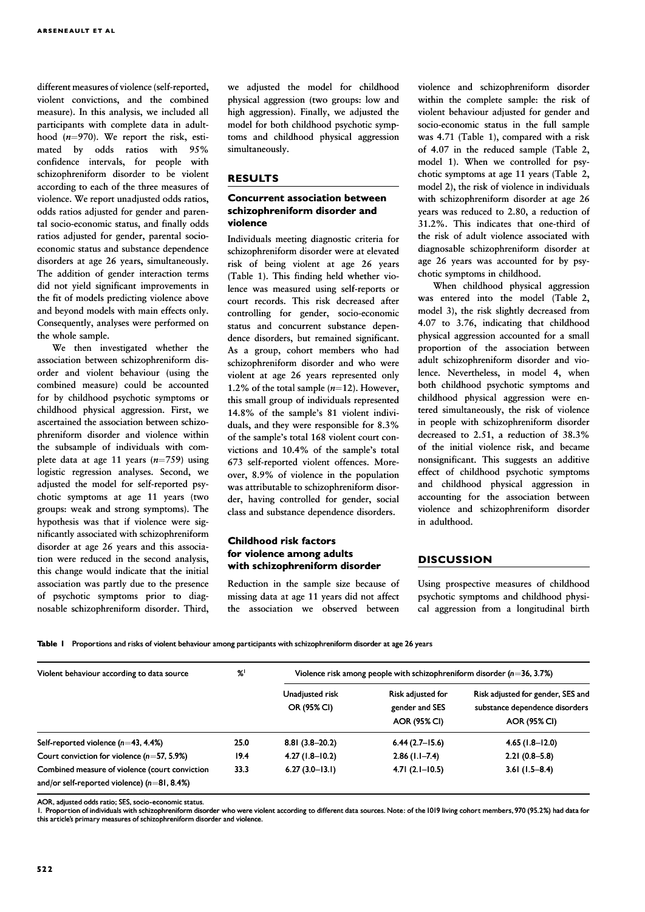different measures of violence (self-reported, violent convictions, and the combined measure). In this analysis, we included all participants with complete data in adulthood  $(n=970)$ . We report the risk, estimated by odds ratios with 95% confidence intervals, for people with schizophreniform disorder to be violent according to each of the three measures of violence. We report unadjusted odds ratios, odds ratios adjusted for gender and parental socio-economic status, and finally odds ratios adjusted for gender, parental socioeconomic status and substance dependence disorders at age 26 years, simultaneously. The addition of gender interaction terms did not yield significant improvements in the fit of models predicting violence above and beyond models with main effects only. Consequently, analyses were performed on the whole sample.

We then investigated whether the association between schizophreniform disorder and violent behaviour (using the combined measure) could be accounted for by childhood psychotic symptoms or childhood physical aggression. First, we ascertained the association between schizophreniform disorder and violence within the subsample of individuals with complete data at age 11 years  $(n=759)$  using logistic regression analyses. Second, we adjusted the model for self-reported psychotic symptoms at age 11 years (two groups: weak and strong symptoms). The hypothesis was that if violence were significantly associated with schizophreniform disorder at age 26 years and this association were reduced in the second analysis, this change would indicate that the initial association was partly due to the presence of psychotic symptoms prior to diagnosable schizophreniform disorder. Third,

we adjusted the model for childhood physical aggression (two groups: low and high aggression). Finally, we adjusted the model for both childhood psychotic symptoms and childhood physical aggression simultaneously.

## RESULTS

# Concurrent association between schizophreniform disorder and violence

Individuals meeting diagnostic criteria for schizophreniform disorder were at elevated risk of being violent at age 26 years (Table 1). This finding held whether violence was measured using self-reports or court records. This risk decreased after controlling for gender, socio-economic status and concurrent substance dependence disorders, but remained significant. As a group, cohort members who had schizophreniform disorder and who were violent at age 26 years represented only 1.2% of the total sample  $(n=12)$ . However, this small group of individuals represented 14.8% of the sample's 81 violent individuals, and they were responsible for 8.3% of the sample's total 168 violent court convictions and 10.4% of the sample's total 673 self-reported violent offences. Moreover, 8.9% of violence in the population was attributable to schizophreniform disorder, having controlled for gender, social class and substance dependence disorders.

## Childhood risk factors for violence among adults with schizophreniform disorder

Reduction in the sample size because of missing data at age 11 years did not affect the association we observed between

violence and schizophreniform disorder within the complete sample: the risk of violent behaviour adjusted for gender and socio-economic status in the full sample was  $4.71$  (Table 1), compared with a risk of 4.07 in the reduced sample (Table 2, model 1). When we controlled for psychotic symptoms at age 11 years (Table 2, model 2), the risk of violence in individuals with schizophreniform disorder at age 26 years was reduced to 2.80, a reduction of 31.2%. This indicates that one-third of the risk of adult violence associated with diagnosable schizophreniform disorder at age 26 years was accounted for by psychotic symptoms in childhood.

When childhood physical aggression was entered into the model (Table 2, model 3), the risk slightly decreased from 4.07 to 3.76, indicating that childhood physical aggression accounted for a small proportion of the association between adult schizophreniform disorder and violence. Nevertheless, in model 4, when both childhood psychotic symptoms and childhood physical aggression were entered simultaneously, the risk of violence in people with schizophreniform disorder decreased to 2.51, a reduction of 38.3% of the initial violence risk, and became nonsignificant. This suggests an additive effect of childhood psychotic symptoms and childhood physical aggression in accounting for the association between violence and schizophreniform disorder in adulthood.

## **DISCUSSION**

Using prospective measures of childhood psychotic symptoms and childhood physical aggression from a longitudinal birth

Table 1 Proportions and risks of violent behaviour among participants with schizophreniform disorder at age 26 years

| Violent behaviour according to data source                                                      | $\%$ | Violence risk among people with schizophreniform disorder $(n=36, 3.7\%)$ |                                                            |                                                                                            |
|-------------------------------------------------------------------------------------------------|------|---------------------------------------------------------------------------|------------------------------------------------------------|--------------------------------------------------------------------------------------------|
|                                                                                                 |      | Unadjusted risk<br>OR (95% CI)                                            | Risk adjusted for<br>gender and SES<br><b>AOR (95% CI)</b> | Risk adjusted for gender, SES and<br>substance dependence disorders<br><b>AOR (95% CI)</b> |
| Self-reported violence $(n=43, 4.4%)$                                                           | 25.0 | $8.81(3.8-20.2)$                                                          | $6.44(2.7-15.6)$                                           | $4.65(1.8-12.0)$                                                                           |
| Court conviction for violence $(n=57, 5.9%)$                                                    | 19.4 | $4.27(1.8-10.2)$                                                          | $2.86(1.1 - 7.4)$                                          | $2.21(0.8-5.8)$                                                                            |
| Combined measure of violence (court conviction<br>and/or self-reported violence) $(n=81, 8.4%)$ | 33.3 | $6.27(3.0-13.1)$                                                          | $4.71(2.1-10.5)$                                           | $3.61(1.5-8.4)$                                                                            |

AOR, adjusted odds ratio; SES, socio-economic status.

1. Proportion of individuals with schizophreniform disorder who were violent according to different data sources. Note: of the 1019 living cohort members, 970 (95.2%) had data for this article's primary measures of schizophreniform disorder and violence.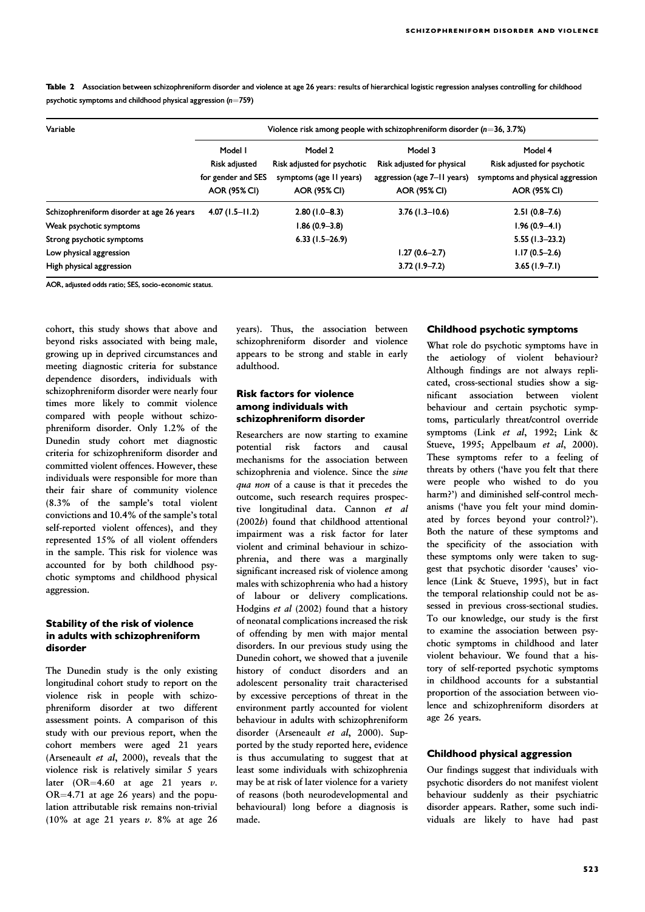| Table 2 Association between schizophreniform disorder and violence at age 26 years: results of hierarchical logistic regression analyses controlling for childhood |  |
|--------------------------------------------------------------------------------------------------------------------------------------------------------------------|--|
| psychotic symptoms and childhood physical aggression ( $n=759$ )                                                                                                   |  |

| Variable                                  | Violence risk among people with schizophreniform disorder $(n=36, 3.7%)$ |                             |                             |                                  |  |
|-------------------------------------------|--------------------------------------------------------------------------|-----------------------------|-----------------------------|----------------------------------|--|
|                                           | Model I                                                                  | Model 2                     | Model 3                     | Model 4                          |  |
|                                           | Risk adjusted                                                            | Risk adjusted for psychotic | Risk adjusted for physical  | Risk adjusted for psychotic      |  |
|                                           | for gender and SES                                                       | symptoms (age 11 years)     | aggression (age 7–11 years) | symptoms and physical aggression |  |
|                                           | AOR (95% CI)                                                             | <b>AOR (95% CI)</b>         | <b>AOR (95% CI)</b>         | <b>AOR (95% CI)</b>              |  |
| Schizophreniform disorder at age 26 years | $4.07(1.5 - 11.2)$                                                       | $2.80(1.0 - 8.3)$           | $3.76(1.3-10.6)$            | $2.51(0.8 - 7.6)$                |  |
| Weak psychotic symptoms                   |                                                                          | $1.86(0.9 - 3.8)$           |                             | $1.96(0.9-4.1)$                  |  |
| Strong psychotic symptoms                 |                                                                          | $6.33(1.5-26.9)$            |                             | $5.55(1.3-23.2)$                 |  |
| Low physical aggression                   |                                                                          |                             | $1.27(0.6 - 2.7)$           | $1.17(0.5-2.6)$                  |  |
| High physical aggression                  |                                                                          |                             | $3.72(1.9 - 7.2)$           | $3.65(1.9 - 7.1)$                |  |

AOR, adjusted odds ratio; SES, socio-economic status.

cohort, this study shows that above and beyond risks associated with being male, growing up in deprived circumstances and meeting diagnostic criteria for substance dependence disorders, individuals with schizophreniform disorder were nearly four times more likely to commit violence compared with people without schizophreniform disorder. Only 1.2% of the Dunedin study cohort met diagnostic criteria for schizophreniform disorder and committed violent offences. However, these individuals were responsible for more than their fair share of community violence (8.3% of the sample's total violent convictions and 10.4% of the sample's total self-reported violent offences), and they represented 15% of all violent offenders in the sample. This risk for violence was accounted for by both childhood psychotic symptoms and childhood physical aggression.

# Stability of the risk of violence in adults with schizophreniform disorder

The Dunedin study is the only existing longitudinal cohort study to report on the violence risk in people with schizophreniform disorder at two different assessment points. A comparison of this study with our previous report, when the cohort members were aged 21 years (Arseneault *et al.* 2000), reveals that the violence risk is relatively similar 5 years later (OR=4.60 at age 21 years v.  $OR=4.71$  at age 26 years) and the population attributable risk remains non-trivial (10% at age 21 years  $v$ . 8% at age 26 years). Thus, the association between schizophreniform disorder and violence appears to be strong and stable in early adulthood

# Risk factors for violence among individuals with schizophreniform disorder

Researchers are now starting to examine potential risk factors and causal mechanisms for the association between schizophrenia and violence. Since the *sine* qua non of a cause is that it precedes the outcome, such research requires prospective longitudinal data. Cannon et al (2002b) found that childhood attentional impairment was a risk factor for later violent and criminal behaviour in schizophrenia, and there was a marginally significant increased risk of violence among males with schizophrenia who had a history of labour or delivery complications. Hodgins et al (2002) found that a history of neonatal complications increased the risk of offending by men with major mental disorders. In our previous study using the Dunedin cohort, we showed that a juvenile history of conduct disorders and an adolescent personality trait characterised by excessive perceptions of threat in the environment partly accounted for violent behaviour in adults with schizophreniform disorder (Arseneault et al, 2000). Supported by the study reported here, evidence is thus accumulating to suggest that at least some individuals with schizophrenia may be at risk of later violence for a variety of reasons (both neurodevelopmental and behavioural) long before a diagnosis is made.

# Childhood psychotic symptoms

What role do psychotic symptoms have in the aetiology of violent behaviour? Although findings are not always replicated, cross-sectional studies show a significant association between violent behaviour and certain psychotic symptoms, particularly threat/control override symptoms (Link et al. 1992; Link  $\&$ Stueve, 1995; Appelbaum et al, 2000). These symptoms refer to a feeling of threats by others ('have you felt that there were people who wished to do you harm?') and diminished self-control mechanisms ('have you felt your mind dominated by forces beyond your control?'). Both the nature of these symptoms and the specificity of the association with these symptoms only were taken to suggest that psychotic disorder 'causes' violence (Link & Stueve, 1995), but in fact the temporal relationship could not be assessed in previous cross-sectional studies. To our knowledge, our study is the first to examine the association between psychotic symptoms in childhood and later violent behaviour. We found that a history of self-reported psychotic symptoms in childhood accounts for a substantial proportion of the association between violence and schizophreniform disorders at age 26 years.

## Childhood physical aggression Childhood

Our findings suggest that individuals with psychotic disorders do not manifest violent behaviour suddenly as their psychiatric disorder appears. Rather, some such individuals are likely to have had past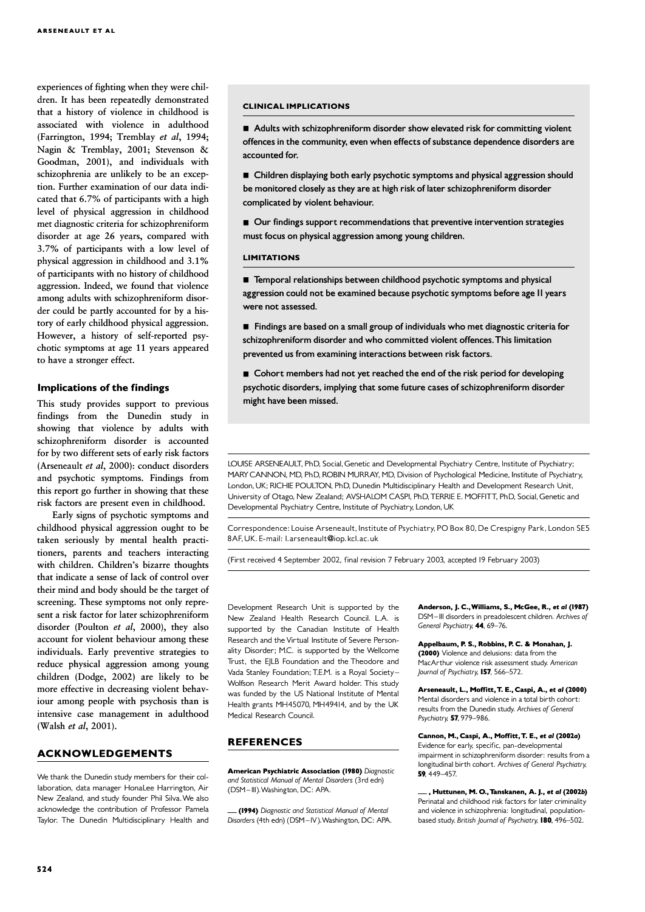experiences of fighting when they were children. It has been repeatedly demonstrated that a history of violence in childhood is associated with violence in adulthood (Farrington, 1994; Tremblay et al, 1994; Nagin & Tremblay, 2001; Stevenson & Goodman, 2001), and individuals with schizophrenia are unlikely to be an exception. Further examination of our data indicated that 6.7% of participants with a high level of physical aggression in childhood met diagnostic criteria for schizophreniform disorder at age 26 years, compared with 3.7% of participants with a low level of physical aggression in childhood and  $3.1\%$ of participants with no history of childhood aggression. Indeed, we found that violence among adults with schizophreniform disorder could be partly accounted for by a history of early childhood physical aggression. However, a history of self-reported psychotic symptoms at age 11 years appeared to have a stronger effect.

#### Implications of the findings

This study provides support to previous findings from the Dunedin study in showing that violence by adults with schizophreniform disorder is accounted for by two different sets of early risk factors (Arseneault et al, 2000): conduct disorders and psychotic symptoms. Findings from this report go further in showing that these risk factors are present even in childhood.

Early signs of psychotic symptoms and childhood physical aggression ought to be taken seriously by mental health practitioners, parents and teachers interacting with children. Children's bizarre thoughts that indicate a sense of lack of control over their mind and body should be the target of screening. These symptoms not only represent a risk factor for later schizophreniform disorder (Poulton  $et$   $al$ , 2000), they also account for violent behaviour among these individuals. Early preventive strategies to reduce physical aggression among young children (Dodge, 2002) are likely to be more effective in decreasing violent behaviour among people with psychosis than is intensive case management in adulthood (Walsh et al, 2001).

#### ACKNOWLEDGEMENTS

We thank the Dunedin study members for their collaboration, data manager HonaLee Harrington, Air New Zealand, and study founder Phil Silva.We also acknowledge the contribution of Professor Pamela Taylor. The Dunedin Multidisciplinary Health and

#### CLINICAL IMPLICATIONS CLINICAL IMPLICATIONS

■ Adults with schizophreniform disorder show elevated risk for committing violent offences in the community, even when effects of substance dependence disorders are accounted for.

■ Children displaying both early psychotic symptoms and physical aggression should be monitored closely as they are at high risk of later schizophreniform disorder complicated by violent behaviour.

■ Our findings support recommendations that preventive intervention strategies must focus on physical aggression among young children.

#### LIMITATIONS

■ Temporal relationships between childhood psychotic symptoms and physical aggression could not be examined because psychotic symptoms before age II years were not assessed.

■ Findings are based on a small group of individuals who met diagnostic criteria for schizophreniform disorder and who committed violent offences.This limitation prevented us from examining interactions between risk factors.

■ Cohort members had not yet reached the end of the risk period for developing psychotic disorders, implying that some future cases of schizophreniform disorder might have been missed.

LOUISE ARSENEAULT, PhD, Social, Genetic and Developmental Psychiatry Centre, Institute of Psychiatry; MARY CANNON, MD, PhD, ROBIN MURRAY, MD, Division of Psychological Medicine, Institute of Psychiatry, London, UK; RICHIE POULTON, PhD, Dunedin Multidisciplinary Health and Development Research Unit, University of Otago, New Zealand; AVSHALOM CASPI, PhD, TERRIE E. MOFFITT, PhD, Social, Genetic and Developmental Psychiatry Centre, Institute of Psychiatry, London, UK

Correspondence: Louise Arseneault, Institute of Psychiatry, PO Box 80, De Crespigny Park, London SE5 8AF,UK. E-mail: l.arseneault@iop.kcl.ac.uk

(First received 4 September 2002, final revision 7 February 2003, accepted 19 February 2003)

Development Research Unit is supported by the New Zealand Health Research Council. L.A. is supported by the Canadian Institute of Health Research and the Virtual Institute of Severe Personality Disorder; M.C. is supported by the Wellcome Trust, the EJLB Foundation and the Theodore and Vada Stanley Foundation; T.E.M. is a Royal Society ^ Wolfson Research Merit Award holder. This study was funded by the US National Institute of Mental Health grants MH45070, MH49414, and by the UK Medical Research Council.

## **REFERENCES**

**American Psychiatric Association (1980)** Diagnostic and Statistical Manual of Mental Disorders (3rd edn) (DSM-III). Washington, DC: APA.

- (1994) Diagnostic and Statistical Manual of Mental Disorders (4th edn) (DSM-IV). Washington, DC: APA.

Anderson, J. C., Williams, S., McGee, R., et al (1987) DSM-III disorders in preadolescent children. Archives of General Psychiatry, 44, 69-76.

Appelbaum, P. S., Robbins, P. C. & Monahan, J. (2000) Violence and delusions: data from the MacArthur violence risk assessment study. American Journal of Psychiatry, 157, 566-572.

Arseneault, L., Moffitt, T. E., Caspi, A., et al (2000) Mental disorders and violence in a total birth cohort: results from the Dunedin study. Archives of General Psychiatry, 57, 979-986.

Cannon, M., Caspi, A., Moffitt, T. E., et al (2002a) Evidence for early, specific, pan-developmental impairment in schizophreniform disorder: results from a longitudinal birth cohort. Archives of General Psychiatry, 59, 449-457.

, Huttunen, M. O., Tanskanen, A. J., et al (2002b) Perinatal and childhood risk factors for later criminality and violence in schizophrenia: longitudinal, populationbased study. British Journal of Psychiatry, 180, 496-502.